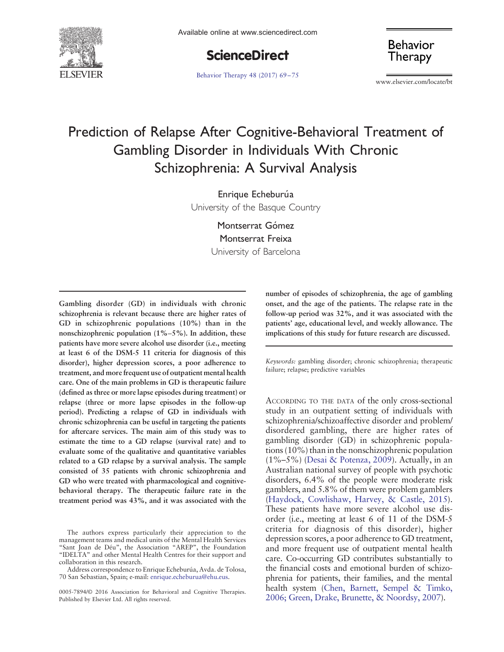

**ScienceDirect** 

[Behavior Therapy 48 \(2017\) 69](http://dx.doi.org/)–75

**Behavior** Therapy

www.elsevier.com/locate/bt

# Prediction of Relapse After Cognitive-Behavioral Treatment of Gambling Disorder in Individuals With Chronic Schizophrenia: A Survival Analysis

Enrique Echeburúa

University of the Basque Country

Montserrat Gómez Montserrat Freixa University of Barcelona

Gambling disorder (GD) in individuals with chronic schizophrenia is relevant because there are higher rates of GD in schizophrenic populations (10%) than in the nonschizophrenic population (1%–5%). In addition, these patients have more severe alcohol use disorder (i.e., meeting at least 6 of the DSM-5 11 criteria for diagnosis of this disorder), higher depression scores, a poor adherence to treatment, and more frequent use of outpatient mental health care. One of the main problems in GD is therapeutic failure (defined as three or more lapse episodes during treatment) or relapse (three or more lapse episodes in the follow-up period). Predicting a relapse of GD in individuals with chronic schizophrenia can be useful in targeting the patients for aftercare services. The main aim of this study was to estimate the time to a GD relapse (survival rate) and to evaluate some of the qualitative and quantitative variables related to a GD relapse by a survival analysis. The sample consisted of 35 patients with chronic schizophrenia and GD who were treated with pharmacological and cognitivebehavioral therapy. The therapeutic failure rate in the treatment period was 43%, and it was associated with the number of episodes of schizophrenia, the age of gambling onset, and the age of the patients. The relapse rate in the follow-up period was 32%, and it was associated with the patients' age, educational level, and weekly allowance. The implications of this study for future research are discussed.

Keywords: gambling disorder; chronic schizophrenia; therapeutic failure; relapse; predictive variables

ACCORDING TO THE DATA of the only cross-sectional study in an outpatient setting of individuals with schizophrenia/schizoaffective disorder and problem/ disordered gambling, there are higher rates of gambling disorder (GD) in schizophrenic populations (10%) than in the nonschizophrenic population (1%–5%) [\(Desai & Potenza, 2009\)](#page-5-0). Actually, in an Australian national survey of people with psychotic disorders, 6.4% of the people were moderate risk gamblers, and 5.8% of them were problem gamblers [\(Haydock, Cowlishaw, Harvey, & Castle, 2015\)](#page-5-0). These patients have more severe alcohol use disorder (i.e., meeting at least 6 of 11 of the DSM-5 criteria for diagnosis of this disorder), higher depression scores, a poor adherence to GD treatment, and more frequent use of outpatient mental health care. Co-occurring GD contributes substantially to the financial costs and emotional burden of schizophrenia for patients, their families, and the mental health system ([Chen, Barnett, Sempel & Timko,](#page-5-0) [2006; Green, Drake, Brunette, & Noordsy, 2007\)](#page-5-0).

The authors express particularly their appreciation to the management teams and medical units of the Mental Health Services "Sant Joan de Déu", the Association "AREP", the Foundation "IDELTA" and other Mental Health Centres for their support and collaboration in this research.

Address correspondence to Enrique Echeburúa, Avda. de Tolosa, 70 San Sebastian, Spain; e-mail: [enrique.echeburua@ehu.eus](mailto:enrique.echeburua@ehu.eus).

<sup>0005-7894/© 2016</sup> Association for Behavioral and Cognitive Therapies. Published by Elsevier Ltd. All rights reserved.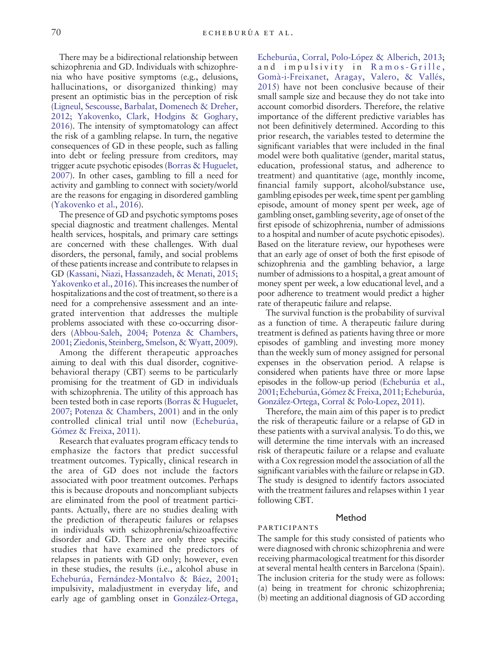There may be a bidirectional relationship between schizophrenia and GD. Individuals with schizophrenia who have positive symptoms (e.g., delusions, hallucinations, or disorganized thinking) may present an optimistic bias in the perception of risk [\(Ligneul, Sescousse, Barbalat, Domenech & Dreher,](#page-5-0) [2012; Yakovenko, Clark, Hodgins & Goghary,](#page-5-0) [2016\)](#page-5-0). The intensity of symptomatology can affect the risk of a gambling relapse. In turn, the negative consequences of GD in these people, such as falling into debt or feeling pressure from creditors, may trigger acute psychotic episodes [\(Borras & Huguelet,](#page-5-0) [2007\)](#page-5-0). In other cases, gambling to fill a need for activity and gambling to connect with society/world are the reasons for engaging in disordered gambling [\(Yakovenko et al., 2016](#page-6-0)).

The presence of GD and psychotic symptoms poses special diagnostic and treatment challenges. Mental health services, hospitals, and primary care settings are concerned with these challenges. With dual disorders, the personal, family, and social problems of these patients increase and contribute to relapses in GD [\(Kassani, Niazi, Hassanzadeh, & Menati, 2015;](#page-5-0) [Yakovenko et al., 2016\)](#page-5-0). This increases the number of hospitalizations and the cost of treatment, so there is a need for a comprehensive assessment and an integrated intervention that addresses the multiple problems associated with these co-occurring disorders [\(Abbou-Saleh, 2004; Potenza & Chambers,](#page-5-0) [2001; Ziedonis, Steinberg, Smelson, & Wyatt, 2009](#page-5-0)).

Among the different therapeutic approaches aiming to deal with this dual disorder, cognitivebehavioral therapy (CBT) seems to be particularly promising for the treatment of GD in individuals with schizophrenia. The utility of this approach has been tested both in case reports ([Borras & Huguelet,](#page-5-0) [2007; Potenza & Chambers, 2001](#page-5-0)) and in the only controlled clinical trial until now [\(Echeburúa,](#page-5-0) [Gómez & Freixa, 2011](#page-5-0)).

Research that evaluates program efficacy tends to emphasize the factors that predict successful treatment outcomes. Typically, clinical research in the area of GD does not include the factors associated with poor treatment outcomes. Perhaps this is because dropouts and noncompliant subjects are eliminated from the pool of treatment participants. Actually, there are no studies dealing with the prediction of therapeutic failures or relapses in individuals with schizophrenia/schizoaffective disorder and GD. There are only three specific studies that have examined the predictors of relapses in patients with GD only; however, even in these studies, the results (i.e., alcohol abuse in [Echeburúa, Fernández-Montalvo & Báez, 2001](#page-5-0); impulsivity, maladjustment in everyday life, and early age of gambling onset in [González-Ortega,](#page-5-0)

[Echeburúa, Corral, Polo-López & Alberich, 2013](#page-5-0); and impulsivity in [Ramos-Grille,](#page-5-0) [Gomà-i-Freixanet, Aragay, Valero, & Vallés,](#page-5-0) [2015](#page-5-0)) have not been conclusive because of their small sample size and because they do not take into account comorbid disorders. Therefore, the relative importance of the different predictive variables has not been definitively determined. According to this prior research, the variables tested to determine the significant variables that were included in the final model were both qualitative (gender, marital status, education, professional status, and adherence to treatment) and quantitative (age, monthly income, financial family support, alcohol/substance use, gambling episodes per week, time spent per gambling episode, amount of money spent per week, age of gambling onset, gambling severity, age of onset of the first episode of schizophrenia, number of admissions to a hospital and number of acute psychotic episodes). Based on the literature review, our hypotheses were that an early age of onset of both the first episode of schizophrenia and the gambling behavior, a large number of admissions to a hospital, a great amount of money spent per week, a low educational level, and a poor adherence to treatment would predict a higher rate of therapeutic failure and relapse.

The survival function is the probability of survival as a function of time. A therapeutic failure during treatment is defined as patients having three or more episodes of gambling and investing more money than the weekly sum of money assigned for personal expenses in the observation period. A relapse is considered when patients have three or more lapse episodes in the follow-up period [\(Echeburúa et al.,](#page-5-0) [2001; Echeburúa, Gómez& Freixa, 2011; Echeburúa,](#page-5-0) [González-Ortega, Corral & Polo-Lopez, 2011](#page-5-0)).

Therefore, the main aim of this paper is to predict the risk of therapeutic failure or a relapse of GD in these patients with a survival analysis. To do this, we will determine the time intervals with an increased risk of therapeutic failure or a relapse and evaluate with a Cox regression model the association of all the significant variables with the failure or relapse in GD. The study is designed to identify factors associated with the treatment failures and relapses within 1 year following CBT.

## Method

participants

# The sample for this study consisted of patients who were diagnosed with chronic schizophrenia and were receiving pharmacological treatment for this disorder at several mental health centers in Barcelona (Spain). The inclusion criteria for the study were as follows: (a) being in treatment for chronic schizophrenia; (b) meeting an additional diagnosis of GD according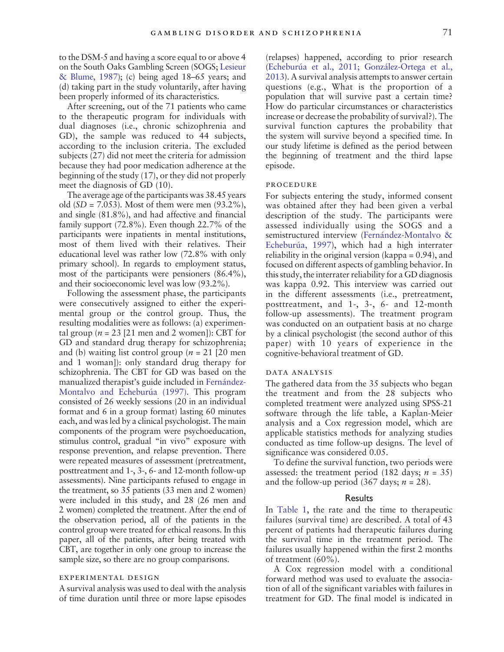to the DSM-5 and having a score equal to or above 4 on the South Oaks Gambling Screen (SOGS; [Lesieur](#page-5-0) [& Blume, 1987\)](#page-5-0); (c) being aged 18–65 years; and (d) taking part in the study voluntarily, after having been properly informed of its characteristics.

After screening, out of the 71 patients who came to the therapeutic program for individuals with dual diagnoses (i.e., chronic schizophrenia and GD), the sample was reduced to 44 subjects, according to the inclusion criteria. The excluded subjects (27) did not meet the criteria for admission because they had poor medication adherence at the beginning of the study (17), or they did not properly meet the diagnosis of GD (10).

The average age of the participants was 38.45 years old  $(SD = 7.053)$ . Most of them were men  $(93.2\%)$ , and single (81.8%), and had affective and financial family support (72.8%). Even though 22.7% of the participants were inpatients in mental institutions, most of them lived with their relatives. Their educational level was rather low (72.8% with only primary school). In regards to employment status, most of the participants were pensioners (86.4%), and their socioeconomic level was low (93.2%).

Following the assessment phase, the participants were consecutively assigned to either the experimental group or the control group. Thus, the resulting modalities were as follows: (a) experimental group ( $n = 23$  [21 men and 2 women]): CBT for GD and standard drug therapy for schizophrenia; and (b) waiting list control group ( $n = 21$  [20 men and 1 woman]): only standard drug therapy for schizophrenia. The CBT for GD was based on the manualized therapist's guide included in [Fernández-](#page-5-0)[Montalvo and Echeburúa \(1997\).](#page-5-0) This program consisted of 26 weekly sessions (20 in an individual format and 6 in a group format) lasting 60 minutes each, and was led by a clinical psychologist. The main components of the program were psychoeducation, stimulus control, gradual "in vivo" exposure with response prevention, and relapse prevention. There were repeated measures of assessment (pretreatment, posttreatment and 1-, 3-, 6- and 12-month follow-up assessments). Nine participants refused to engage in the treatment, so 35 patients (33 men and 2 women) were included in this study, and 28 (26 men and 2 women) completed the treatment. After the end of the observation period, all of the patients in the control group were treated for ethical reasons. In this paper, all of the patients, after being treated with CBT, are together in only one group to increase the sample size, so there are no group comparisons.

### experimental design

A survival analysis was used to deal with the analysis of time duration until three or more lapse episodes

(relapses) happened, according to prior research [\(Echeburúa et al., 2011; González-Ortega et al.,](#page-5-0) [2013](#page-5-0)). A survival analysis attempts to answer certain questions (e.g., What is the proportion of a population that will survive past a certain time? How do particular circumstances or characteristics increase or decrease the probability of survival?). The survival function captures the probability that the system will survive beyond a specified time. In our study lifetime is defined as the period between the beginning of treatment and the third lapse episode.

#### procedure

For subjects entering the study, informed consent was obtained after they had been given a verbal description of the study. The participants were assessed individually using the SOGS and a semistructured interview ([Fernández-Montalvo &](#page-5-0) [Echeburúa, 1997\)](#page-5-0), which had a high interrater reliability in the original version (kappa = 0.94), and focused on different aspects of gambling behavior. In this study, the interrater reliability for a GD diagnosis was kappa 0.92. This interview was carried out in the different assessments (i.e., pretreatment, posttreatment, and 1-, 3-, 6- and 12-month follow-up assessments). The treatment program was conducted on an outpatient basis at no charge by a clinical psychologist (the second author of this paper) with 10 years of experience in the cognitive-behavioral treatment of GD.

## data analysis

The gathered data from the 35 subjects who began the treatment and from the 28 subjects who completed treatment were analyzed using SPSS-21 software through the life table, a Kaplan-Meier analysis and a Cox regression model, which are applicable statistics methods for analyzing studies conducted as time follow-up designs. The level of significance was considered 0.05.

To define the survival function, two periods were assessed: the treatment period (182 days;  $n = 35$ ) and the follow-up period (367 days;  $n = 28$ ).

### **Results**

In [Table 1,](#page-3-0) the rate and the time to therapeutic failures (survival time) are described. A total of 43 percent of patients had therapeutic failures during the survival time in the treatment period. The failures usually happened within the first 2 months of treatment (60%).

A Cox regression model with a conditional forward method was used to evaluate the association of all of the significant variables with failures in treatment for GD. The final model is indicated in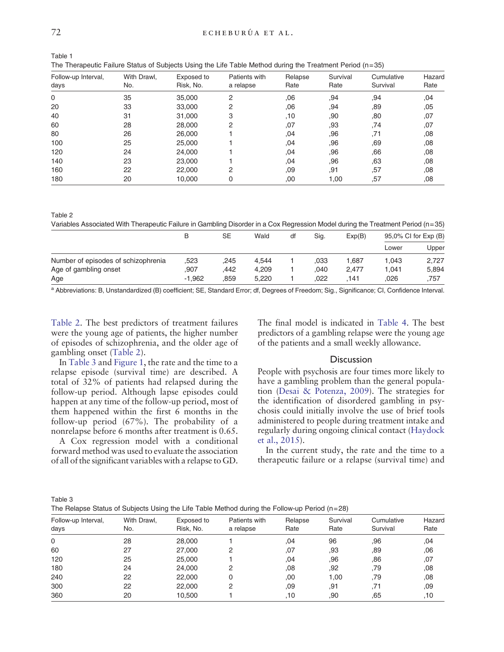<span id="page-3-0"></span>

| <br>P.<br>× |
|-------------|
| ٠           |
|             |

| Table 1                                                                                                   |  |
|-----------------------------------------------------------------------------------------------------------|--|
| The Therapeutic Failure Status of Subjects Using the Life Table Method during the Treatment Period (n=35) |  |

| Follow-up Interval,<br>days | With Drawl,<br>No. | Exposed to<br>Risk, No. | Patients with<br>a relapse | Relapse<br>Rate | Survival<br>Rate | Cumulative<br>Survival | Hazard<br>Rate |
|-----------------------------|--------------------|-------------------------|----------------------------|-----------------|------------------|------------------------|----------------|
| $\mathbf 0$                 | 35                 | 35,000                  | 2                          | .06             | .94              | .94                    | ,04            |
| 20                          | 33                 | 33,000                  | 2                          | .06             | .94              | ,89                    | ,05            |
| 40                          | 31                 | 31,000                  | 3                          | .10             | .90              | .80                    | ,07            |
| 60                          | 28                 | 28,000                  | 2                          | ,07             | .93              | .74                    | ,07            |
| 80                          | 26                 | 26,000                  |                            | .04             | ,96              | .71                    | .08            |
| 100                         | 25                 | 25,000                  |                            | .04             | .96              | ,69                    | .08            |
| 120                         | 24                 | 24,000                  |                            | .04             | .96              | .66                    | .08            |
| 140                         | 23                 | 23,000                  |                            | .04             | .96              | ,63                    | .08            |
| 160                         | 22                 | 22,000                  | 2                          | ,09             | .91              | ,57                    | .08            |
| 180                         | 20                 | 10,000                  | 0                          | ,00             | 1,00             | ,57                    | .08            |

Table 2

Variables Associated With Therapeutic Failure in Gambling Disorder in a Cox Regression Model during the Treatment Period (n=35)

|                                     | В        | SE   | Wald  | df | Sig. | Exp(B) | 95,0% CI for Exp (B) |       |
|-------------------------------------|----------|------|-------|----|------|--------|----------------------|-------|
|                                     |          |      |       |    |      |        | Lower                | Upper |
| Number of episodes of schizophrenia | .523     | .245 | 4.544 |    | .033 | 687. ا | 1.043                | 2,727 |
| Age of gambling onset               | .907     | .442 | 4.209 |    | .040 | 2.477  | 1.041                | 5.894 |
| Age                                 | $-1.962$ | .859 | 5.220 |    | 022  | 141    | 026                  | ,757  |

<sup>a</sup> Abbreviations: B, Unstandardized (B) coefficient; SE, Standard Error; df, Degrees of Freedom; Sig., Significance; CI, Confidence Interval.

Table 2. The best predictors of treatment failures were the young age of patients, the higher number of episodes of schizophrenia, and the older age of gambling onset (Table 2).

The final model is indicated in [Table 4](#page-4-0). The best predictors of a gambling relapse were the young age of the patients and a small weekly allowance.

## **Discussion**

People with psychosis are four times more likely to have a gambling problem than the general population ([Desai & Potenza, 2009](#page-5-0)). The strategies for the identification of disordered gambling in psychosis could initially involve the use of brief tools administered to people during treatment intake and regularly during ongoing clinical contact [\(Haydock](#page-5-0) [et al., 2015](#page-5-0)).

In the current study, the rate and the time to a therapeutic failure or a relapse (survival time) and

In Table 3 and [Figure 1,](#page-4-0) the rate and the time to a relapse episode (survival time) are described. A total of 32% of patients had relapsed during the follow-up period. Although lapse episodes could happen at any time of the follow-up period, most of them happened within the first 6 months in the follow-up period (67%). The probability of a nonrelapse before 6 months after treatment is 0.65.

A Cox regression model with a conditional forward method was used to evaluate the association of all of the significant variables with a relapse to GD.

| ×<br>n an<br>۰,<br>× | ۰,<br>I |
|----------------------|---------|
|----------------------|---------|

The Relapse Status of Subjects Using the Life Table Method during the Follow-up Period ( $n=28$ )

| Follow-up Interval,<br>days | With Drawl,<br>No. | Exposed to<br>Risk, No. | Patients with<br>a relapse | Relapse<br>Rate | Survival<br>Rate | Cumulative<br>Survival | Hazard<br>Rate |
|-----------------------------|--------------------|-------------------------|----------------------------|-----------------|------------------|------------------------|----------------|
| 0                           | 28                 | 28,000                  |                            | .04             | 96               | .96                    | .04            |
| 60                          | 27                 | 27,000                  | 2                          | .07             | .93              | .89                    | ,06            |
| 120                         | 25                 | 25,000                  |                            | .04             | .96              | .86                    | .07            |
| 180                         | 24                 | 24,000                  | 2                          | .08             | .92              | .79                    | .08            |
| 240                         | 22                 | 22,000                  | 0                          | .00             | 1.00             | .79                    | .08            |
| 300                         | 22                 | 22,000                  | 2                          | .09             | ,91              | .71                    | ,09            |
| 360                         | 20                 | 10,500                  |                            | .10             | .90              | .65                    | .10            |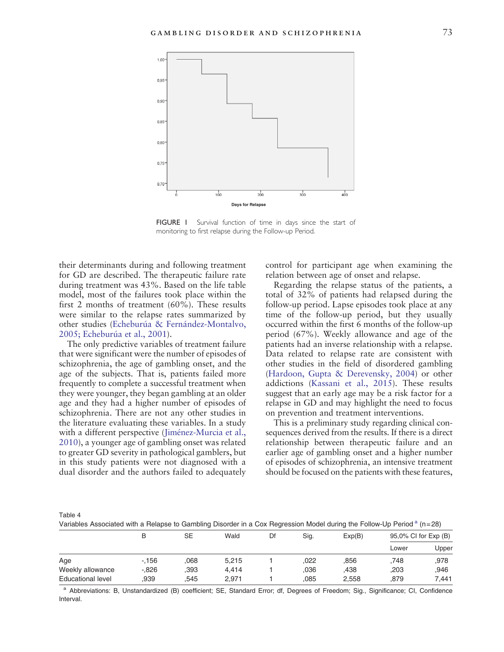<span id="page-4-0"></span>

FIGURE I Survival function of time in days since the start of monitoring to first relapse during the Follow-up Period.

their determinants during and following treatment for GD are described. The therapeutic failure rate during treatment was 43%. Based on the life table model, most of the failures took place within the first 2 months of treatment (60%). These results were similar to the relapse rates summarized by other studies ([Echeburúa & Fernández-Montalvo,](#page-5-0) [2005; Echeburúa et al., 2001\)](#page-5-0).

The only predictive variables of treatment failure that were significant were the number of episodes of schizophrenia, the age of gambling onset, and the age of the subjects. That is, patients failed more frequently to complete a successful treatment when they were younger, they began gambling at an older age and they had a higher number of episodes of schizophrenia. There are not any other studies in the literature evaluating these variables. In a study with a different perspective ([Jiménez-Murcia et al.,](#page-5-0) [2010\)](#page-5-0), a younger age of gambling onset was related to greater GD severity in pathological gamblers, but in this study patients were not diagnosed with a dual disorder and the authors failed to adequately control for participant age when examining the relation between age of onset and relapse.

Regarding the relapse status of the patients, a total of 32% of patients had relapsed during the follow-up period. Lapse episodes took place at any time of the follow-up period, but they usually occurred within the first 6 months of the follow-up period (67%). Weekly allowance and age of the patients had an inverse relationship with a relapse. Data related to relapse rate are consistent with other studies in the field of disordered gambling [\(Hardoon, Gupta & Derevensky, 2004](#page-5-0)) or other addictions [\(Kassani et al., 2015\)](#page-5-0). These results suggest that an early age may be a risk factor for a relapse in GD and may highlight the need to focus on prevention and treatment interventions.

This is a preliminary study regarding clinical consequences derived from the results. If there is a direct relationship between therapeutic failure and an earlier age of gambling onset and a higher number of episodes of schizophrenia, an intensive treatment should be focused on the patients with these features,

Table 4

Variables Associated with a Relapse to Gambling Disorder in a Cox Regression Model during the Follow-Up Period  $a$  (n=28)

|                   | B        | SE   | Wald  | Df | Sig. | Exp(B) | 95,0% CI for Exp (B) |       |
|-------------------|----------|------|-------|----|------|--------|----------------------|-------|
|                   |          |      |       |    |      |        | Lower                | Upper |
| Age               | $-156$   | 068  | 5,215 |    | 022  | .856   | .748                 | .978  |
| Weekly allowance  | $-0.826$ | .393 | 4.414 |    | ,036 | .438   | ,203                 | .946  |
| Educational level | .939     | .545 | 2.971 |    | .085 | 2.558  | .879                 | 7.441 |

<sup>a</sup> Abbreviations: B, Unstandardized (B) coefficient; SE, Standard Error; df, Degrees of Freedom; Sig., Significance; CI, Confidence Interval.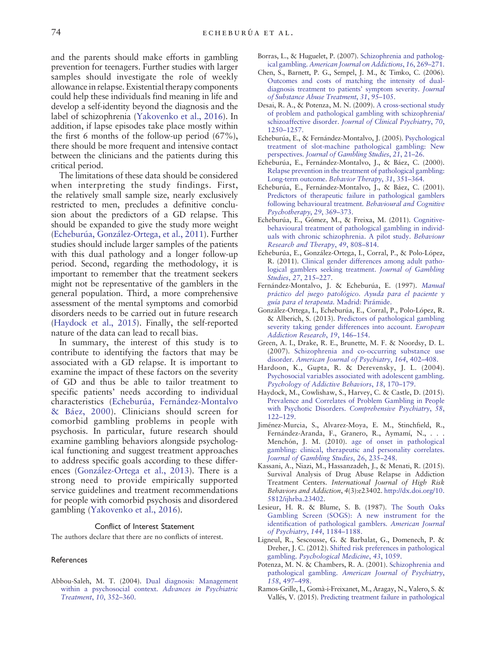<span id="page-5-0"></span>and the parents should make efforts in gambling prevention for teenagers. Further studies with larger samples should investigate the role of weekly allowance in relapse. Existential therapy components could help these individuals find meaning in life and develop a self-identity beyond the diagnosis and the label of schizophrenia ([Yakovenko et al., 2016\)](#page-6-0). In addition, if lapse episodes take place mostly within the first 6 months of the follow-up period (67%), there should be more frequent and intensive contact between the clinicians and the patients during this critical period.

The limitations of these data should be considered when interpreting the study findings. First, the relatively small sample size, nearly exclusively restricted to men, precludes a definitive conclusion about the predictors of a GD relapse. This should be expanded to give the study more weight (Echeburúa, González-Ortega, et al., 2011). Further studies should include larger samples of the patients with this dual pathology and a longer follow-up period. Second, regarding the methodology, it is important to remember that the treatment seekers might not be representative of the gamblers in the general population. Third, a more comprehensive assessment of the mental symptoms and comorbid disorders needs to be carried out in future research (Haydock et al., 2015). Finally, the self-reported nature of the data can lead to recall bias.

In summary, the interest of this study is to contribute to identifying the factors that may be associated with a GD relapse. It is important to examine the impact of these factors on the severity of GD and thus be able to tailor treatment to specific patients' needs according to individual characteristics (Echeburúa, Fernández-Montalvo & Báez, 2000). Clinicians should screen for comorbid gambling problems in people with psychosis. In particular, future research should examine gambling behaviors alongside psychological functioning and suggest treatment approaches to address specific goals according to these differences (González-Ortega et al., 2013). There is a strong need to provide empirically supported service guidelines and treatment recommendations for people with comorbid psychosis and disordered gambling [\(Yakovenko et al., 2016\)](#page-6-0).

#### Conflict of Interest Statement

The authors declare that there are no conflicts of interest.

#### **References**

Abbou-Saleh, M. T. (2004). [Dual diagnosis: Management](http://refhub.elsevier.com/S0005-7894(16)30083-1/rf0005) [within a psychosocial context.](http://refhub.elsevier.com/S0005-7894(16)30083-1/rf0005) Advances in Psychiatric [Treatment](http://refhub.elsevier.com/S0005-7894(16)30083-1/rf0005), 10, 352–360.

- Borras, L., & Huguelet, P. (2007). [Schizophrenia and patholog](http://refhub.elsevier.com/S0005-7894(16)30083-1/rf0010)ical gambling. [American Journal on Addictions](http://refhub.elsevier.com/S0005-7894(16)30083-1/rf0010), 16, 269–271.
- Chen, S., Barnett, P. G., Sempel, J. M., & Timko, C. (2006). [Outcomes and costs of matching the intensity of dual](http://refhub.elsevier.com/S0005-7894(16)30083-1/rf0015)[diagnosis treatment to patients](http://refhub.elsevier.com/S0005-7894(16)30083-1/rf0015)' symptom severity. Journal [of Substance Abuse Treatment](http://refhub.elsevier.com/S0005-7894(16)30083-1/rf0015), 31, 95–105.
- Desai, R. A., & Potenza, M. N. (2009). [A cross-sectional study](http://refhub.elsevier.com/S0005-7894(16)30083-1/rf0020) [of problem and pathological gambling with schizophrenia/](http://refhub.elsevier.com/S0005-7894(16)30083-1/rf0020) schizoaffective disorder. [Journal of Clinical Psychiatry](http://refhub.elsevier.com/S0005-7894(16)30083-1/rf0020), 70, 1250–[1257.](http://refhub.elsevier.com/S0005-7894(16)30083-1/rf0020)
- Echeburúa, E., & Fernández-Montalvo, J. (2005). [Psychological](http://refhub.elsevier.com/S0005-7894(16)30083-1/rf0025) [treatment of slot-machine pathological gambling: New](http://refhub.elsevier.com/S0005-7894(16)30083-1/rf0025) perspectives. [Journal of Gambling Studies](http://refhub.elsevier.com/S0005-7894(16)30083-1/rf0025), 21, 21–26.
- Echeburúa, E., Fernández-Montalvo, J., & Báez, C. (2000). [Relapse prevention in the treatment of pathological gambling:](http://refhub.elsevier.com/S0005-7894(16)30083-1/rf0040) [Long-term outcome.](http://refhub.elsevier.com/S0005-7894(16)30083-1/rf0040) Behavior Therapy, 31, 351–364.
- Echeburúa, E., Fernández-Montalvo, J., & Báez, C. (2001). [Predictors of therapeutic failure in pathological gamblers](http://refhub.elsevier.com/S0005-7894(16)30083-1/rf0045) [following behavioural treatment.](http://refhub.elsevier.com/S0005-7894(16)30083-1/rf0045) Behavioural and Cognitive [Psychotherapy](http://refhub.elsevier.com/S0005-7894(16)30083-1/rf0045), 29, 369–373.
- Echeburúa, E., Gómez, M., & Freixa, M. (2011). [Cognitive](http://refhub.elsevier.com/S0005-7894(16)30083-1/rf0030)[behavioural treatment of pathological gambling in individ](http://refhub.elsevier.com/S0005-7894(16)30083-1/rf0030)[uals with chronic schizophrenia. A pilot study.](http://refhub.elsevier.com/S0005-7894(16)30083-1/rf0030) Behaviour [Research and Therapy](http://refhub.elsevier.com/S0005-7894(16)30083-1/rf0030), 49, 808–814.
- Echeburúa, E., González-Ortega, I., Corral, P., & Polo-López, R. (2011). [Clinical gender differences among adult patho](http://refhub.elsevier.com/S0005-7894(16)30083-1/rf0035)[logical gamblers seeking treatment.](http://refhub.elsevier.com/S0005-7894(16)30083-1/rf0035) Journal of Gambling [Studies](http://refhub.elsevier.com/S0005-7894(16)30083-1/rf0035), 27, 215–227.
- Fernández-Montalvo, J. & Echeburúa, E. (1997). [Manual](http://refhub.elsevier.com/S0005-7894(16)30083-1/rf0050) [práctico del juego patológico. Ayuda para el paciente y](http://refhub.elsevier.com/S0005-7894(16)30083-1/rf0050) [guía para el terapeuta.](http://refhub.elsevier.com/S0005-7894(16)30083-1/rf0050) Madrid: Pirámide.
- González-Ortega, I., Echeburúa, E., Corral, P., Polo-López, R. & Alberich, S. (2013). [Predictors of pathological gambling](http://refhub.elsevier.com/S0005-7894(16)30083-1/rf0055) [severity taking gender differences into account.](http://refhub.elsevier.com/S0005-7894(16)30083-1/rf0055) European [Addiction Research](http://refhub.elsevier.com/S0005-7894(16)30083-1/rf0055), 19, 146–154.
- Green, A. I., Drake, R. E., Brunette, M. F. & Noordsy, D. L. (2007). [Schizophrenia and co-occurring substance use](http://refhub.elsevier.com/S0005-7894(16)30083-1/rf0060) disorder. [American Journal of Psychiatry](http://refhub.elsevier.com/S0005-7894(16)30083-1/rf0060), 164, 402–408.
- Hardoon, K., Gupta, R. & Derevensky, J. L. (2004). [Psychosocial variables associated with adolescent gambling.](http://refhub.elsevier.com/S0005-7894(16)30083-1/rf0065) [Psychology of Addictive Behaviors](http://refhub.elsevier.com/S0005-7894(16)30083-1/rf0065), 18, 170–179.
- Haydock, M., Cowlishaw, S., Harvey, C. & Castle, D. (2015). [Prevalence and Correlates of Problem Gambling in People](http://refhub.elsevier.com/S0005-7894(16)30083-1/rf0070) with Psychotic Disorders. [Comprehensive Psychiatry](http://refhub.elsevier.com/S0005-7894(16)30083-1/rf0070), 58, 122–[129.](http://refhub.elsevier.com/S0005-7894(16)30083-1/rf0070)
- Jiménez-Murcia, S., Alvarez-Moya, E. M., Stinchfield, R., Fernández-Aranda, F., Granero, R., Aymamí, N., . . . Menchón, J. M. (2010). [age of onset in pathological](http://refhub.elsevier.com/S0005-7894(16)30083-1/rf0075) [gambling: clinical, therapeutic and personality correlates.](http://refhub.elsevier.com/S0005-7894(16)30083-1/rf0075) [Journal of Gambling Studies](http://refhub.elsevier.com/S0005-7894(16)30083-1/rf0075), 26, 235–248.
- Kassani, A., Niazi, M., Hassanzadeh, J., & Menati, R. (2015). Survival Analysis of Drug Abuse Relapse in Addiction Treatment Centers. International Journal of High Risk Behaviors and Addiction, 4(3):e23402. http://dx.doi.org/[10.](http://dx.doi.org/10.5812/ijhrba.23402) [5812/ijhrba.23402](http://dx.doi.org/10.5812/ijhrba.23402).
- Lesieur, H. R. & Blume, S. B. (1987). [The South Oaks](http://refhub.elsevier.com/S0005-7894(16)30083-1/rf0085) [Gambling Screen \(SOGS\): A new instrument for the](http://refhub.elsevier.com/S0005-7894(16)30083-1/rf0085) [identification of pathological gamblers.](http://refhub.elsevier.com/S0005-7894(16)30083-1/rf0085) American Journal [of Psychiatry](http://refhub.elsevier.com/S0005-7894(16)30083-1/rf0085), 144, 1184–1188.
- Ligneul, R., Sescousse, G. & Barbalat, G., Domenech, P. & Dreher, J. C. (2012). [Shifted risk preferences in pathological](http://refhub.elsevier.com/S0005-7894(16)30083-1/rf0090) gambling. [Psychological Medicine](http://refhub.elsevier.com/S0005-7894(16)30083-1/rf0090), 43, 1059.
- Potenza, M. N. & Chambers, R. A. (2001). [Schizophrenia and](http://refhub.elsevier.com/S0005-7894(16)30083-1/rf0095) pathological gambling. [American Journal of Psychiatry](http://refhub.elsevier.com/S0005-7894(16)30083-1/rf0095), 158[, 497](http://refhub.elsevier.com/S0005-7894(16)30083-1/rf0095)–498.
- Ramos-Grille, I., Gomà-i-Freixanet, M., Aragay, N., Valero, S. & Vallés, V. (2015). [Predicting treatment failure in pathological](http://refhub.elsevier.com/S0005-7894(16)30083-1/rf0100)